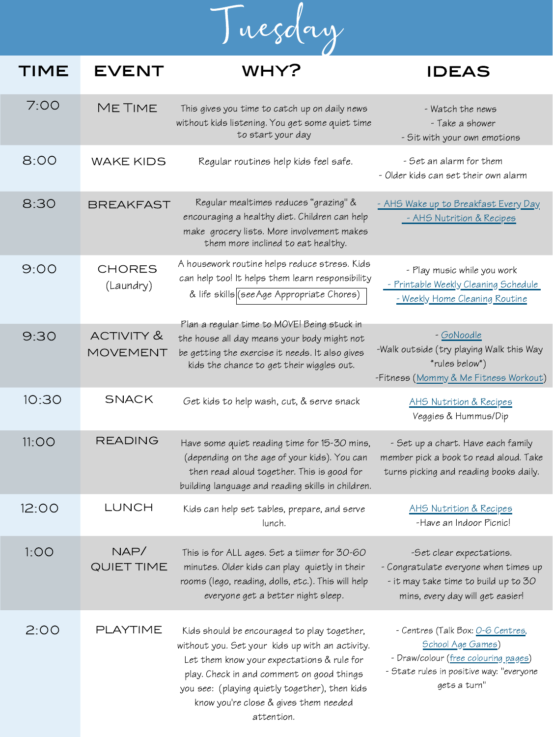

## TIME EVENT WHY? IDEAS 7:00 8:00 Me Time wake kids - Watch the news - Take a shower - Sit with your own emotions [- AHS Wake up to Breakfast Every Day](https://www.albertahealthservices.ca/assets/info/nutrition/if-nfs-wake-up-to-breakfast.pdf) [- AHS Nutrition & Recipes](https://www.albertahealthservices.ca/nutrition/Page10996.aspx) 8:30 BREAKFAST 9:00 chores (Laundry) - Play music while you work [- Printable Weekly Cleaning Schedule](https://www.thecleanerhome.com/blog/free-printable-weekly-cleaning-checklist-perfect-to-use-at-home/) [- Weekly Home Cleaning Routine](https://www.vivaveltoro.com/a-quick-efficient-home-cleaning-routine-printable-cleaning-schedule-giveaway) 9:30 activity & movement This gives you time to catch up on daily news without kids listening. You get some quiet time to start your day Regular routines help kids feel safe. Regular mealtimes reduces "grazing" & encouraging a healthy diet. Children can help make grocery lists. More involvement makes them more inclined to eat healthy. A housework routine helps reduce stress. Kids can help too! It helps them learn responsibility & life skills [\(see Age Appropriate Chores\)](https://www.chestermere.ca/DocumentCenter/View/15754/Age-Appropriate-Chores) Plan a regular time to MOVE! Being stuck in the house all day means your body might not be getting the exercise it needs. It also gives kids the chance to get their wiggles out. - Set an alarm for them - Older kids can set their own alarm - [GoNoodle](https://family.gonoodle.com/) -Walk outside (try playing Walk this Way \*rules below\*) -Fitness [\(Mommy & Me Fitness Workout\)](https://www.youtube.com/watch?v=ApoXZkXq_wQ)

| 10:30 | <b>SNACK</b>              | Get kids to help wash, cut, & serve snack                                                                                                                                                                                                                                                          | AHS Nutrition & Recipes<br>Veggies & Hummus/Dip                                                                                                                           |
|-------|---------------------------|----------------------------------------------------------------------------------------------------------------------------------------------------------------------------------------------------------------------------------------------------------------------------------------------------|---------------------------------------------------------------------------------------------------------------------------------------------------------------------------|
| 11:OO | <b>READING</b>            | Have some quiet reading time for 15-30 mins,<br>(depending on the age of your kids). You can<br>then read aloud together. This is good for<br>building language and reading skills in children.                                                                                                    | - Set up a chart. Have each family<br>member pick a book to read aloud. Take<br>turns picking and reading books daily.                                                    |
| 12:00 | LUNCH                     | Kids can help set tables, prepare, and serve<br>lunch.                                                                                                                                                                                                                                             | AHS Nutrition & Recipes<br>-Have an Indoor Picnic!                                                                                                                        |
| 1:OO  | NAP/<br><b>QUIET TIME</b> | This is for ALL ages. Set a tiimer for 30-60<br>minutes. Older kids can play quietly in their<br>rooms (lego, reading, dolls, etc.). This will help<br>everyone get a better night sleep.                                                                                                          | -Set clear expectations.<br>- Congratulate everyone when times up<br>- it may take time to build up to 30<br>mins, every day will get easier!                             |
| 2:00  | PLAYTIME                  | Kids should be encouraged to play together,<br>without you. Set your kids up with an activity.<br>Let them know your expectations & rule for<br>play. Check in and comment on good things<br>you see: (playing quietly together), then kids<br>know you're close & gives them needed<br>attention. | - Centres (Talk Box: <u>O-6 Centres</u> ,<br><b>School Age Games)</b><br>- Draw/colour (free colouring pages)<br>- State rules in positive way: "everyone<br>gets a turn" |